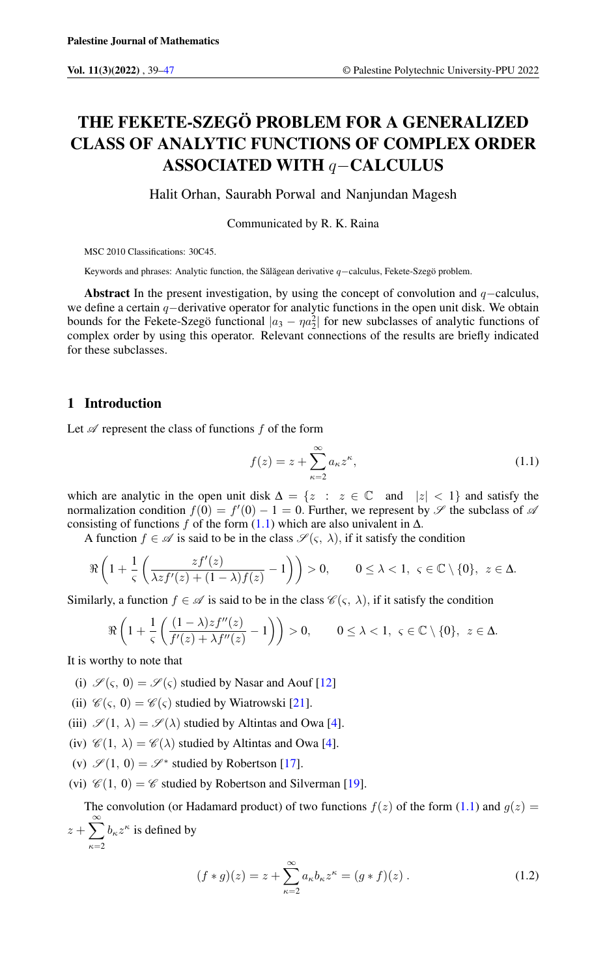# THE FEKETE-SZEGÖ PROBLEM FOR A GENERALIZED CLASS OF ANALYTIC FUNCTIONS OF COMPLEX ORDER ASSOCIATED WITH q−CALCULUS

Halit Orhan, Saurabh Porwal and Nanjundan Magesh

Communicated by R. K. Raina

MSC 2010 Classifications: 30C45.

Keywords and phrases: Analytic function, the Sălăgean derivative q–calculus, Fekete-Szegö problem.

Abstract In the present investigation, by using the concept of convolution and  $q$ −calculus, we define a certain q−derivative operator for analytic functions in the open unit disk. We obtain bounds for the Fekete-Szegö functional  $|a_3 - na_2^2|$  for new subclasses of analytic functions of complex order by using this operator. Relevant connections of the results are briefly indicated for these subclasses.

# 1 Introduction

Let  $\mathscr A$  represent the class of functions  $f$  of the form

<span id="page-0-0"></span>
$$
f(z) = z + \sum_{\kappa=2}^{\infty} a_{\kappa} z^{\kappa},
$$
\n(1.1)

which are analytic in the open unit disk  $\Delta = \{z : z \in \mathbb{C} \text{ and } |z| < 1\}$  and satisfy the normalization condition  $f(0) = f'(0) - 1 = 0$ . Further, we represent by  $\mathscr S$  the subclass of  $\mathscr A$ consisting of functions f of the form  $(1.1)$  which are also univalent in  $\Delta$ .

A function  $f \in \mathscr{A}$  is said to be in the class  $\mathscr{S}(\varsigma, \lambda)$ , if it satisfy the condition

$$
\Re\left(1+\frac{1}{\varsigma}\left(\frac{zf^{\prime}(z)}{\lambda zf^{\prime}(z)+(1-\lambda)f(z)}-1\right)\right)>0,\qquad 0\leq\lambda<1,\ \varsigma\in\mathbb{C}\setminus\{0\},\ z\in\Delta.
$$

Similarly, a function  $f \in \mathcal{A}$  is said to be in the class  $\mathcal{C}(\varsigma, \lambda)$ , if it satisfy the condition

$$
\Re\left(1+\frac{1}{\varsigma}\left(\frac{(1-\lambda)zf''(z)}{f'(z)+\lambda f''(z)}-1\right)\right)>0,\qquad 0\leq\lambda<1,\ \varsigma\in\mathbb{C}\setminus\{0\},\ z\in\Delta.
$$

It is worthy to note that

- (i)  $\mathscr{S}(\varsigma, 0) = \mathscr{S}(\varsigma)$  studied by Nasar and Aouf [\[12\]](#page-7-1)
- (ii)  $\mathcal{C}(\varsigma, 0) = \mathcal{C}(\varsigma)$  studied by Wiatrowski [\[21\]](#page-8-0).
- (iii)  $\mathscr{S}(1, \lambda) = \mathscr{S}(\lambda)$  studied by Altintas and Owa [\[4\]](#page-7-2).

(iv)  $\mathscr{C}(1, \lambda) = \mathscr{C}(\lambda)$  studied by Altintas and Owa [\[4\]](#page-7-2).

- (v)  $\mathscr{S}(1, 0) = \mathscr{S}^*$  studied by Robertson [\[17\]](#page-8-1).
- (vi)  $\mathcal{C}(1, 0) = \mathcal{C}$  studied by Robertson and Silverman [\[19\]](#page-8-2).

The convolution (or Hadamard product) of two functions  $f(z)$  of the form [\(1.1\)](#page-0-0) and  $g(z)$  =  $z+\sum_{i=1}^{\infty}$  $\kappa=2$  $b_{\kappa}z^{\kappa}$  is defined by

$$
(f * g)(z) = z + \sum_{\kappa=2}^{\infty} a_{\kappa} b_{\kappa} z^{\kappa} = (g * f)(z).
$$
 (1.2)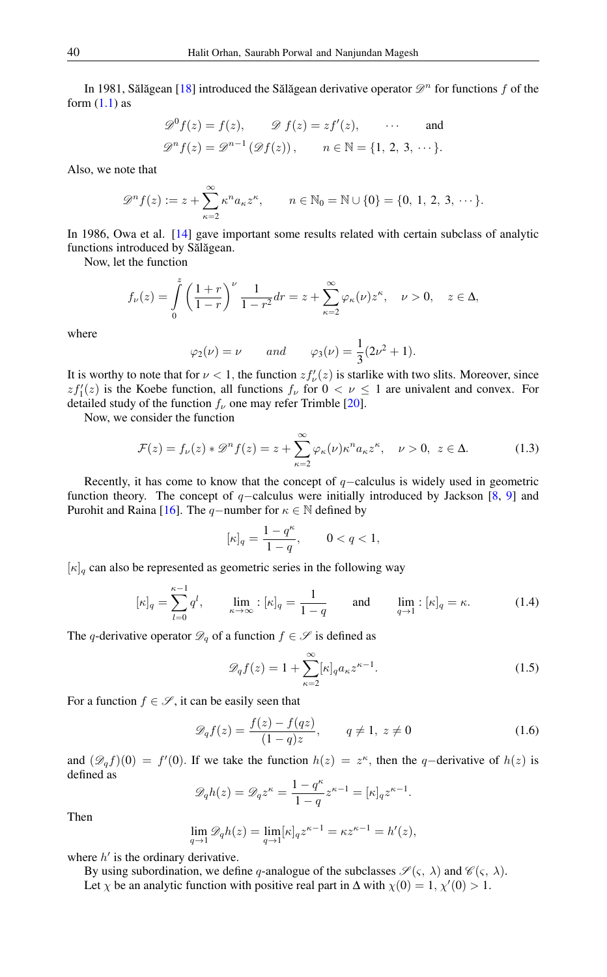In 1981, Sălăgean [[18\]](#page-8-3) introduced the Sălăgean derivative operator  $\mathscr{D}^n$  for functions f of the form  $(1.1)$  as

$$
\mathcal{D}^0 f(z) = f(z), \qquad \mathcal{D} f(z) = z f'(z), \qquad \dots \qquad \text{and}
$$
  

$$
\mathcal{D}^n f(z) = \mathcal{D}^{n-1} (\mathcal{D} f(z)), \qquad n \in \mathbb{N} = \{1, 2, 3, \dots\}.
$$

Also, we note that

$$
\mathscr{D}^n f(z) := z + \sum_{\kappa=2}^{\infty} \kappa^n a_{\kappa} z^{\kappa}, \qquad n \in \mathbb{N}_0 = \mathbb{N} \cup \{0\} = \{0, 1, 2, 3, \cdots\}.
$$

In 1986, Owa et al. [\[14\]](#page-8-4) gave important some results related with certain subclass of analytic functions introduced by Sălăgean.

Now, let the function

$$
f_{\nu}(z) = \int_{0}^{z} \left(\frac{1+r}{1-r}\right)^{\nu} \frac{1}{1-r^{2}} dr = z + \sum_{\kappa=2}^{\infty} \varphi_{\kappa}(\nu) z^{\kappa}, \quad \nu > 0, \quad z \in \Delta,
$$

where

<span id="page-1-0"></span>
$$
\varphi_2(\nu) = \nu
$$
 and  $\varphi_3(\nu) = \frac{1}{3}(2\nu^2 + 1).$ 

It is worthy to note that for  $\nu < 1$ , the function  $zf'_{\nu}(z)$  is starlike with two slits. Moreover, since  $zf'_{1}(z)$  is the Koebe function, all functions  $f_{\nu}$  for  $0 < \nu \leq 1$  are univalent and convex. For detailed study of the function  $f_{\nu}$  one may refer Trimble [\[20\]](#page-8-5).

Now, we consider the function

$$
\mathcal{F}(z) = f_{\nu}(z) * \mathcal{D}^{n} f(z) = z + \sum_{\kappa=2}^{\infty} \varphi_{\kappa}(\nu) \kappa^{n} a_{\kappa} z^{\kappa}, \quad \nu > 0, \ z \in \Delta.
$$
 (1.3)

Recently, it has come to know that the concept of  $q$ −calculus is widely used in geometric function theory. The concept of  $q$ −calculus were initially introduced by Jackson [\[8,](#page-7-3) [9\]](#page-7-4) and Purohit and Raina [\[16\]](#page-8-6). The q−number for  $\kappa \in \mathbb{N}$  defined by

$$
[\kappa]_q = \frac{1 - q^{\kappa}}{1 - q}, \qquad 0 < q < 1,
$$

 $[\kappa]_q$  can also be represented as geometric series in the following way

$$
[\kappa]_q = \sum_{l=0}^{\kappa-1} q^l, \qquad \lim_{\kappa \to \infty} : [\kappa]_q = \frac{1}{1-q} \qquad \text{and} \qquad \lim_{q \to 1} : [\kappa]_q = \kappa. \tag{1.4}
$$

The q-derivative operator  $\mathcal{D}_q$  of a function  $f \in \mathcal{S}$  is defined as

$$
\mathscr{D}_q f(z) = 1 + \sum_{\kappa=2}^{\infty} [\kappa]_q a_{\kappa} z^{\kappa - 1}.
$$
 (1.5)

For a function  $f \in \mathscr{S}$ , it can be easily seen that

$$
\mathscr{D}_q f(z) = \frac{f(z) - f(qz)}{(1 - q)z}, \qquad q \neq 1, \ z \neq 0 \tag{1.6}
$$

and  $(\mathscr{D}_q f)(0) = f'(0)$ . If we take the function  $h(z) = z^{\kappa}$ , then the q-derivative of  $h(z)$  is defined as

$$
\mathscr{D}_q h(z) = \mathscr{D}_q z^{\kappa} = \frac{1-q^{\kappa}}{1-q} z^{\kappa-1} = [\kappa]_q z^{\kappa-1}.
$$

Then

$$
\lim_{q \to 1} \mathcal{D}_q h(z) = \lim_{q \to 1} [\kappa]_q z^{\kappa - 1} = \kappa z^{\kappa - 1} = h'(z),
$$

where  $h'$  is the ordinary derivative.

By using subordination, we define q-analogue of the subclasses  $\mathscr{S}(\varsigma, \lambda)$  and  $\mathscr{C}(\varsigma, \lambda)$ .

Let  $\chi$  be an analytic function with positive real part in  $\Delta$  with  $\chi(0) = 1, \chi'(0) > 1$ .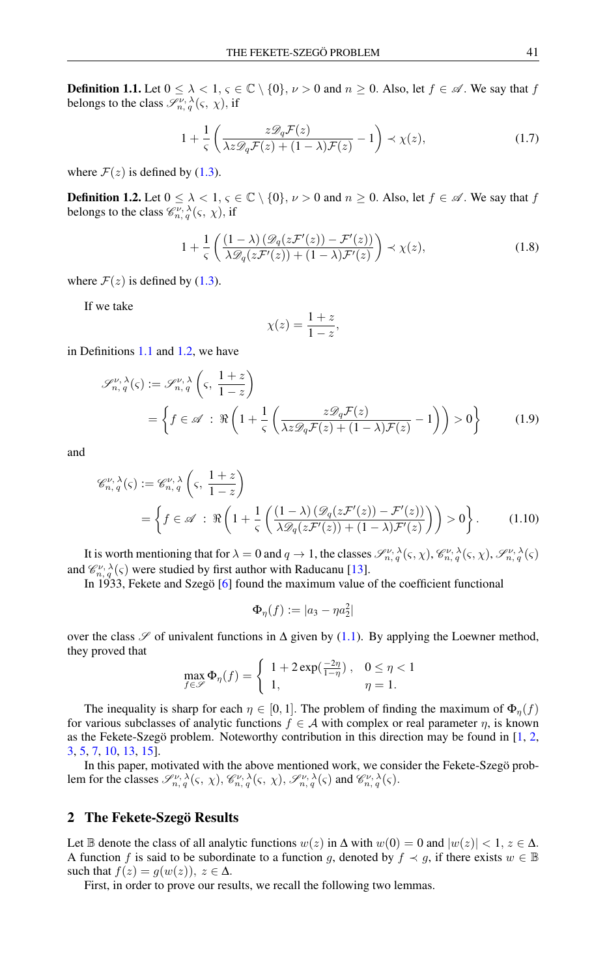<span id="page-2-0"></span>**Definition 1.1.** Let  $0 \le \lambda < 1$ ,  $\varsigma \in \mathbb{C} \setminus \{0\}$ ,  $\nu > 0$  and  $n \ge 0$ . Also, let  $f \in \mathcal{A}$ . We say that f belongs to the class  $\mathscr{S}_{n, q}^{\nu, \lambda}(\varsigma, \chi)$ , if

<span id="page-2-3"></span>
$$
1 + \frac{1}{s} \left( \frac{z \mathcal{D}_q \mathcal{F}(z)}{\lambda z \mathcal{D}_q \mathcal{F}(z) + (1 - \lambda) \mathcal{F}(z)} - 1 \right) \prec \chi(z), \tag{1.7}
$$

where  $\mathcal{F}(z)$  is defined by [\(1.3\)](#page-1-0).

<span id="page-2-1"></span>**Definition 1.2.** Let  $0 \le \lambda < 1$ ,  $\varsigma \in \mathbb{C} \setminus \{0\}$ ,  $\nu > 0$  and  $n \ge 0$ . Also, let  $f \in \mathcal{A}$ . We say that f belongs to the class  $\mathcal{C}_{n, q}^{\nu, \lambda}(\varsigma, \chi)$ , if

<span id="page-2-2"></span>
$$
1 + \frac{1}{s} \left( \frac{(1 - \lambda) \left( \mathcal{D}_q(z \mathcal{F}'(z)) - \mathcal{F}'(z) \right)}{\lambda \mathcal{D}_q(z \mathcal{F}'(z)) + (1 - \lambda) \mathcal{F}'(z)} \right) \prec \chi(z), \tag{1.8}
$$

where  $\mathcal{F}(z)$  is defined by [\(1.3\)](#page-1-0).

If we take

$$
\chi(z) = \frac{1+z}{1-z},
$$

in Definitions [1.1](#page-2-0) and [1.2,](#page-2-1) we have

$$
\mathscr{S}_{n,q}^{\nu,\lambda}(\varsigma) := \mathscr{S}_{n,q}^{\nu,\lambda}\left(\varsigma, \frac{1+z}{1-z}\right)
$$

$$
= \left\{f \in \mathscr{A} \; : \; \Re\left(1 + \frac{1}{\varsigma}\left(\frac{z\mathscr{D}_q \mathcal{F}(z)}{\lambda z\mathscr{D}_q \mathcal{F}(z) + (1-\lambda)\mathcal{F}(z)} - 1\right)\right) > 0\right\} \tag{1.9}
$$

and

$$
\mathcal{C}_{n,q}^{\nu,\lambda}(\varsigma) := \mathcal{C}_{n,q}^{\nu,\lambda}\left(\varsigma,\frac{1+z}{1-z}\right)
$$
  
= 
$$
\left\{f \in \mathcal{A} : \Re\left(1 + \frac{1}{\varsigma}\left(\frac{(1-\lambda)\left(\mathcal{D}_q(z\mathcal{F}'(z)) - \mathcal{F}'(z)\right)}{\lambda\mathcal{D}_q(z\mathcal{F}'(z)) + (1-\lambda)\mathcal{F}'(z)}\right)\right) > 0\right\}.
$$
 (1.10)

It is worth mentioning that for  $\lambda = 0$  and  $q \to 1$ , the classes  $\mathcal{S}^{\nu,\lambda}_{n,q}(\varsigma,\chi)$ ,  $\mathcal{C}^{\nu,\lambda}_{n,q}(\varsigma,\chi)$ ,  $\mathcal{S}^{\nu,\lambda}_{n,q}(\varsigma)$ and  $\mathcal{C}_{n, q}^{\nu, \lambda}(\varsigma)$  were studied by first author with Raducanu [\[13\]](#page-8-7).

In 1933, Fekete and Szegö [\[6\]](#page-7-5) found the maximum value of the coefficient functional

$$
\Phi_{\eta}(f):=|a_3-\eta a_2^2|
$$

over the class  $\mathscr S$  of univalent functions in  $\Delta$  given by [\(1.1\)](#page-0-0). By applying the Loewner method, they proved that

$$
\max_{f \in \mathscr{S}} \Phi_{\eta}(f) = \begin{cases} 1 + 2\exp(\frac{-2\eta}{1 - \eta}), & 0 \le \eta < 1 \\ 1, & \eta = 1. \end{cases}
$$

The inequality is sharp for each  $\eta \in [0, 1]$ . The problem of finding the maximum of  $\Phi_n(f)$ for various subclasses of analytic functions  $f \in A$  with complex or real parameter  $\eta$ , is known as the Fekete-Szegö problem. Noteworthy contribution in this direction may be found in [\[1,](#page-7-6) [2,](#page-7-7) [3,](#page-7-8) [5,](#page-7-9) [7,](#page-7-10) [10,](#page-7-11) [13,](#page-8-7) [15\]](#page-8-8).

In this paper, motivated with the above mentioned work, we consider the Fekete-Szegö problem for the classes  $\mathscr{S}^{\nu, \lambda}_{n, q}(\varsigma, \chi), \mathscr{C}^{\nu, \lambda}_{n, q}(\varsigma, \chi), \mathscr{S}^{\nu, \lambda}_{n, q}(\varsigma)$  and  $\mathscr{C}^{\nu, \lambda}_{n, q}(\varsigma)$ .

## 2 The Fekete-Szegö Results

Let B denote the class of all analytic functions  $w(z)$  in  $\Delta$  with  $w(0) = 0$  and  $|w(z)| < 1$ ,  $z \in \Delta$ . A function f is said to be subordinate to a function g, denoted by  $f \prec g$ , if there exists  $w \in \mathbb{B}$ such that  $f(z) = g(w(z))$ ,  $z \in \Delta$ .

First, in order to prove our results, we recall the following two lemmas.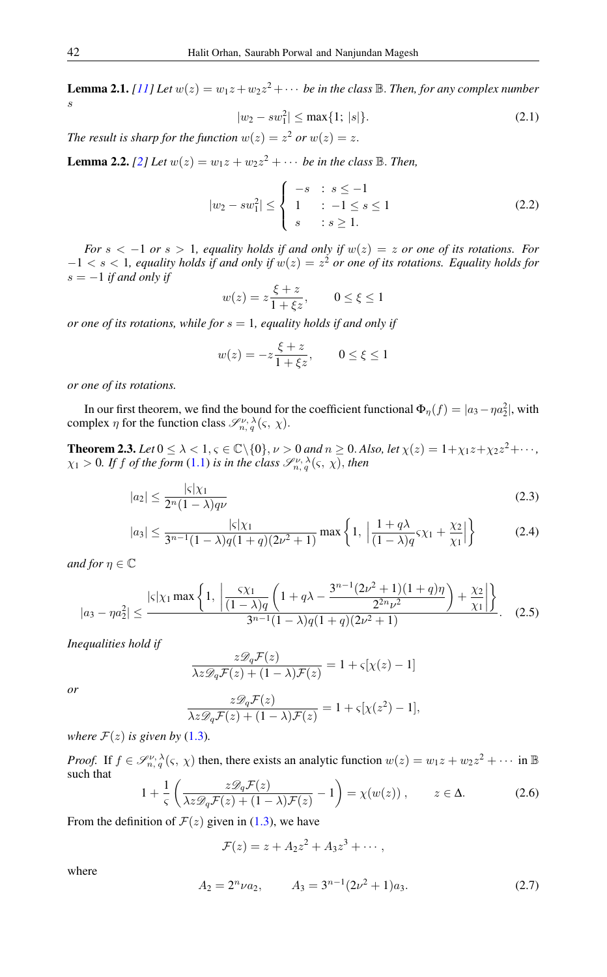<span id="page-3-3"></span>**Lemma 2.1.** *[\[11\]](#page-7-12)* Let  $w(z) = w_1z + w_2z^2 + \cdots$  be in the class  $\mathbb{B}$ . Then, for any complex number s

$$
|w_2 - sw_1^2| \le \max\{1; |s|\}.
$$
 (2.1)

*The result is sharp for the function*  $w(z) = z^2$  *or*  $w(z) = z$ .

<span id="page-3-4"></span>**Lemma 2.2.** [\[2\]](#page-7-7) Let  $w(z) = w_1 z + w_2 z^2 + \cdots$  be in the class  $\mathbb{B}$ . Then,

$$
|w_2 - sw_1^2| \le \begin{cases} -s & : s \le -1 \\ 1 & : -1 \le s \le 1 \\ s & : s \ge 1. \end{cases}
$$
 (2.2)

*For* s < −1 *or* s > 1*, equality holds if and only if* w(z) = z *or one of its rotations. For* −1 < s < 1*, equality holds if and only if* w(z) = z <sup>2</sup> *or one of its rotations. Equality holds for*  $s = -1$  *if and only if* 

$$
w(z) = z \frac{\xi + z}{1 + \xi z}, \qquad 0 \le \xi \le 1
$$

*or one of its rotations, while for* s = 1*, equality holds if and only if*

<span id="page-3-2"></span>
$$
w(z) = -z \frac{\xi + z}{1 + \xi z}, \qquad 0 \le \xi \le 1
$$

*or one of its rotations.*

In our first theorem, we find the bound for the coefficient functional  $\Phi_{\eta}(f) = |a_3 - \eta a_2^2|$ , with complex  $\eta$  for the function class  $\mathcal{S}_{n, q}^{\nu, \lambda}(\varsigma, \chi)$ .

<span id="page-3-5"></span>**Theorem 2.3.** Let  $0 \le \lambda < 1, \varsigma \in \mathbb{C} \setminus \{0\}, \nu > 0$  and  $n \ge 0$ . Also, let  $\chi(z) = 1 + \chi_1 z + \chi_2 z^2 + \cdots$ ,  $\chi_1 > 0$ . If f of the form [\(1.1\)](#page-0-0) is in the class  $\mathscr{S}^{\nu, \lambda}_{n, q}(\varsigma, \chi)$ , then

$$
|a_2| \le \frac{|\varsigma|\chi_1}{2^n(1-\lambda)q\nu} \tag{2.3}
$$

$$
|a_3| \le \frac{|\varsigma|\chi_1}{3^{n-1}(1-\lambda)q(1+q)(2\nu^2+1)} \max\left\{1, \left|\frac{1+q\lambda}{(1-\lambda)q}\varsigma\chi_1 + \frac{\chi_2}{\chi_1}\right|\right\} \tag{2.4}
$$

*and for*  $\eta \in \mathbb{C}$ 

$$
|a_3 - \eta a_2^2| \le \frac{|\varsigma|\chi_1 \max\left\{1, \left|\frac{\varsigma\chi_1}{(1-\lambda)q} \left(1+q\lambda-\frac{3^{n-1}(2\nu^2+1)(1+q)\eta}{2^{2n}\nu^2}\right)+\frac{\chi_2}{\chi_1}\right|\right\}}{3^{n-1}(1-\lambda)q(1+q)(2\nu^2+1)}.
$$
 (2.5)

*Inequalities hold if*

$$
\frac{z\mathcal{D}_q \mathcal{F}(z)}{\lambda z\mathcal{D}_q \mathcal{F}(z) + (1-\lambda)\mathcal{F}(z)} = 1 + \varsigma[\chi(z) - 1]
$$

*or*

$$
\frac{z\mathscr{D}_q\mathcal{F}(z)}{\lambda z\mathscr{D}_q\mathcal{F}(z) + (1-\lambda)\mathcal{F}(z)} = 1 + \varsigma[\chi(z^2) - 1],
$$

*where*  $\mathcal{F}(z)$  *is given by* [\(1.3\)](#page-1-0)*.* 

*Proof.* If  $f \in \mathcal{S}_{n,q}^{\nu,\lambda}(\varsigma,\chi)$  then, there exists an analytic function  $w(z) = w_1z + w_2z^2 + \cdots$  in  $\mathbb B$ such that  $1/$  $z\mathscr{D}_q\mathcal{F}(z)$  $\setminus$ 

<span id="page-3-0"></span>
$$
1 + \frac{1}{s} \left( \frac{z \mathcal{D}_q \mathcal{F}(z)}{\lambda z \mathcal{D}_q \mathcal{F}(z) + (1 - \lambda) \mathcal{F}(z)} - 1 \right) = \chi(w(z)), \qquad z \in \Delta.
$$
 (2.6)

From the definition of  $\mathcal{F}(z)$  given in [\(1.3\)](#page-1-0), we have

$$
\mathcal{F}(z)=z+A_2z^2+A_3z^3+\cdots,
$$

<span id="page-3-1"></span>where

$$
A_2 = 2^n \nu a_2, \qquad A_3 = 3^{n-1} (2\nu^2 + 1) a_3. \tag{2.7}
$$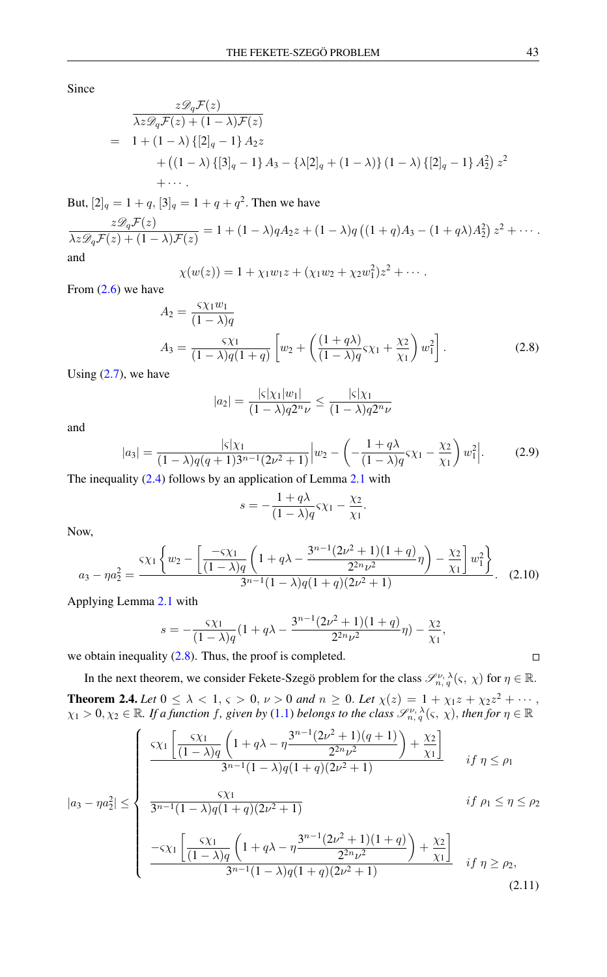Since

$$
\frac{z\mathscr{D}_q \mathcal{F}(z)}{\lambda z\mathscr{D}_q \mathcal{F}(z) + (1-\lambda)\mathscr{F}(z)}
$$
\n
$$
= 1 + (1-\lambda)\{[2]_q - 1\}A_2z
$$
\n
$$
+ ((1-\lambda)\{[3]_q - 1\}A_3 - \{\lambda[2]_q + (1-\lambda)\}(1-\lambda)\{[2]_q - 1\}A_2^2\}z^2
$$
\n
$$
+ \cdots
$$

But,  $[2]_q = 1 + q$ ,  $[3]_q = 1 + q + q^2$ . Then we have

$$
\frac{z\mathscr{D}_q\mathcal{F}(z)}{\lambda z\mathscr{D}_q\mathcal{F}(z)+(1-\lambda)\mathcal{F}(z)}=1+(1-\lambda)qA_2z+(1-\lambda)q((1+q)A_3-(1+q\lambda)A_2^2)z^2+\cdots
$$

and

$$
\chi(w(z)) = 1 + \chi_1 w_1 z + (\chi_1 w_2 + \chi_2 w_1^2) z^2 + \cdots
$$

From [\(2.6\)](#page-3-0) we have

$$
A_2 = \frac{\varsigma \chi_1 w_1}{(1 - \lambda)q} A_3 = \frac{\varsigma \chi_1}{(1 - \lambda)q(1 + q)} \left[ w_2 + \left( \frac{(1 + q\lambda)}{(1 - \lambda)q} \varsigma \chi_1 + \frac{\chi_2}{\chi_1} \right) w_1^2 \right].
$$
 (2.8)

Using  $(2.7)$ , we have

<span id="page-4-0"></span>
$$
|a_2| = \frac{|\varsigma|\chi_1|w_1|}{(1-\lambda)q2^n\nu} \le \frac{|\varsigma|\chi_1}{(1-\lambda)q2^n\nu}
$$

and

$$
|a_3| = \frac{|\varsigma|\chi_1}{(1-\lambda)q(q+1)3^{n-1}(2\nu^2+1)} \Big| w_2 - \left(-\frac{1+q\lambda}{(1-\lambda)q}\varsigma\chi_1 - \frac{\chi_2}{\chi_1}\right) w_1^2\Big|.
$$
 (2.9)

The inequality  $(2.4)$  follows by an application of Lemma [2.1](#page-3-3) with

$$
s = -\frac{1+q\lambda}{(1-\lambda)q}S\chi_1 - \frac{\chi_2}{\chi_1}.
$$

Now,

$$
a_3 - \eta a_2^2 = \frac{\varsigma \chi_1 \left\{ w_2 - \left[ \frac{-\varsigma \chi_1}{(1-\lambda)q} \left( 1 + q\lambda - \frac{3^{n-1}(2\nu^2 + 1)(1+q)}{2^{2n}\nu^2} \eta \right) - \frac{\chi_2}{\chi_1} \right] w_1^2 \right\}}{3^{n-1}(1-\lambda)q(1+q)(2\nu^2 + 1)}.
$$
 (2.10)

Applying Lemma [2.1](#page-3-3) with

$$
s = -\frac{\varsigma \chi_1}{(1-\lambda)q} (1+q\lambda - \frac{3^{n-1}(2\nu^2+1)(1+q)}{2^{2n}\nu^2} \eta) - \frac{\chi_2}{\chi_1},
$$

we obtain inequality  $(2.8)$ . Thus, the proof is completed.

<span id="page-4-2"></span>In the next theorem, we consider Fekete-Szegö problem for the class  $\mathscr{S}_{n,q}^{\nu,\lambda}(\varsigma,\chi)$  for  $\eta \in \mathbb{R}$ . **Theorem 2.4.** Let  $0 \le \lambda < 1$ ,  $\varsigma > 0$ ,  $\nu > 0$  and  $n \ge 0$ . Let  $\chi(z) = 1 + \chi_1 z + \chi_2 z^2 + \cdots$ ,  $\chi_1 > 0, \chi_2 \in \mathbb{R}$ . If a function f, given by [\(1.1\)](#page-0-0) belongs to the class  $\mathscr{S}_{n, q}^{\nu, \lambda}(\varsigma, \chi)$ , then for  $\eta \in \mathbb{R}$ 

$$
\left\{\n\begin{array}{l}\n\frac{\varsigma \chi_1}{(1-\lambda)q} \left(1+q\lambda-\eta \frac{3^{n-1}(2\nu^2+1)(q+1)}{2^{2n}\nu^2}\right) + \frac{\chi_2}{\chi_1} \\
\frac{3^{n-1}(1-\lambda)q(1+q)(2\nu^2+1)}{2^{2n}\nu^2}\n\end{array}\n\right.\n\quad if \ \eta \le \rho_1
$$

$$
|a_{3} - \eta a_{2}^{2}| \leq \begin{cases} \frac{5\chi_{1}}{3^{n-1}(1-\lambda)q}\left(1+q\lambda-\eta\frac{2^{n}\nu^{2}}{2^{n}\nu^{2}}\right)+\frac{\chi_{2}}{\chi_{1}} & \text{if } \eta \leq \rho_{1} \\ \frac{5\chi_{1}}{3^{n-1}(1-\lambda)q(1+q)(2\nu^{2}+1)} & \text{if } \rho_{1} \leq \eta \leq \rho_{2} \\ \frac{5\chi_{1}}{3^{n-1}(1-\lambda)q(1+q)(2\nu^{2}+1)} & \text{if } \rho_{1} \leq \eta \leq \rho_{2} \\ \frac{-5\chi_{1}}{3^{n-1}(1-\lambda)q}\left(1+q\lambda-\eta\frac{3^{n-1}(2\nu^{2}+1)(1+q)}{2^{2n}\nu^{2}}\right)+\frac{\chi_{2}}{\chi_{1}} & \text{if } \eta \geq \rho_{2}, \\ \frac{-5\chi_{1}}{3^{n-1}(1-\lambda)q(1+q)(2\nu^{2}+1)} & \text{if } \eta \geq \rho_{2}, \end{cases}
$$
(2.11)

<span id="page-4-1"></span>
$$
\Box
$$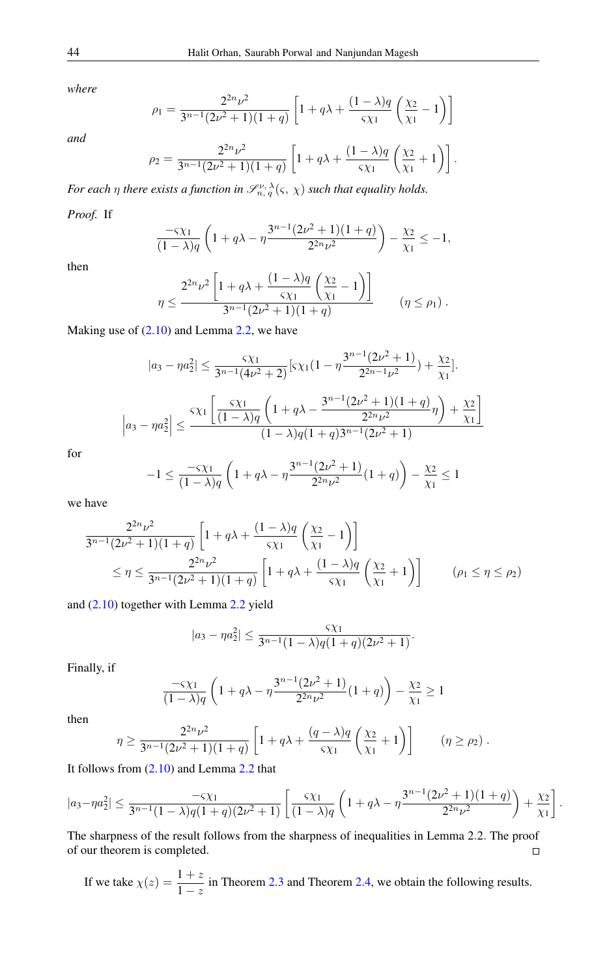*where*

*and*

$$
\rho_1 = \frac{2^{2n}\nu^2}{3^{n-1}(2\nu^2+1)(1+q)} \left[ 1 + q\lambda + \frac{(1-\lambda)q}{5\chi_1} \left( \frac{\chi_2}{\chi_1} - 1 \right) \right]
$$

$$
\rho_2 = \frac{2^{2n}\nu^2}{3^{n-1}(2\nu^2+1)(1+q)} \left[ 1 + q\lambda + \frac{(1-\lambda)q}{5\chi_1} \left( \frac{\chi_2}{\chi_1} + 1 \right) \right].
$$

*For each*  $\eta$  *there exists a function in*  $\mathscr{S}_{n, q}^{\nu, \lambda}(\varsigma, \chi)$  *such that equality holds.* 

## *Proof.* If

$$
\frac{-\varsigma \chi_1}{(1-\lambda)q} \left(1+q\lambda-\eta \frac{3^{n-1}(2\nu^2+1)(1+q)}{2^{2n}\nu^2}\right)-\frac{\chi_2}{\chi_1} \leq -1,
$$

then

$$
\eta \le \frac{2^{2n}\nu^2 \left[1 + q\lambda + \frac{(1-\lambda)q}{\varsigma \chi_1} \left(\frac{\chi_2}{\chi_1} - 1\right)\right]}{3^{n-1}(2\nu^2 + 1)(1+q)} \qquad (\eta \le \rho_1) .
$$

Making use of [\(2.10\)](#page-4-1) and Lemma [2.2,](#page-3-4) we have

$$
|a_3 - \eta a_2^2| \le \frac{\varsigma \chi_1}{3^{n-1}(4\nu^2 + 2)} \left[ \varsigma \chi_1 (1 - \eta \frac{3^{n-1}(2\nu^2 + 1)}{2^{2n-1}\nu^2}) + \frac{\chi_2}{\chi_1} \right].
$$

$$
\left| a_3 - \eta a_2^2 \right| \le \frac{\varsigma \chi_1 \left[ \frac{\varsigma \chi_1}{(1 - \lambda)q} \left( 1 + q\lambda - \frac{3^{n-1}(2\nu^2 + 1)(1 + q)}{2^{2n}\nu^2} \eta \right) + \frac{\chi_2}{\chi_1} \right]}{(1 - \lambda)q(1 + q)3^{n-1}(2\nu^2 + 1)}
$$

for

$$
-1 \le \frac{-\varsigma \chi_1}{(1-\lambda)q} \left(1+q\lambda-\eta \frac{3^{n-1}(2\nu^2+1)}{2^{2n}\nu^2}(1+q)\right) - \frac{\chi_2}{\chi_1} \le 1
$$

we have

$$
\frac{2^{2n}\nu^2}{3^{n-1}(2\nu^2+1)(1+q)} \left[ 1 + q\lambda + \frac{(1-\lambda)q}{\varsigma \chi_1} \left( \frac{\chi_2}{\chi_1} - 1 \right) \right]
$$
  
 
$$
\leq \eta \leq \frac{2^{2n}\nu^2}{3^{n-1}(2\nu^2+1)(1+q)} \left[ 1 + q\lambda + \frac{(1-\lambda)q}{\varsigma \chi_1} \left( \frac{\chi_2}{\chi_1} + 1 \right) \right] \qquad (\rho_1 \leq \eta \leq \rho_2)
$$

and [\(2.10\)](#page-4-1) together with Lemma [2.2](#page-3-4) yield

$$
|a_3 - \eta a_2^2| \le \frac{\varsigma \chi_1}{3^{n-1}(1-\lambda)q(1+q)(2\nu^2+1)}.
$$

Finally, if

$$
\frac{-\varsigma \chi_1}{(1-\lambda)q} \left(1+q\lambda - \eta \frac{3^{n-1}(2\nu^2+1)}{2^{2n}\nu^2}(1+q)\right) - \frac{\chi_2}{\chi_1} \ge 1
$$

then

$$
\eta \ge \frac{2^{2n}\nu^2}{3^{n-1}(2\nu^2+1)(1+q)} \left[1+q\lambda+\frac{(q-\lambda)q}{5\chi_1}\left(\frac{\chi_2}{\chi_1}+1\right)\right] \qquad (\eta \ge \rho_2) .
$$

It follows from [\(2.10\)](#page-4-1) and Lemma [2.2](#page-3-4) that

$$
|a_3-\eta a_2^2| \leq \frac{-\varsigma \chi_1}{3^{n-1}(1-\lambda)q(1+q)(2\nu^2+1)} \left[ \frac{\varsigma \chi_1}{(1-\lambda)q} \left(1+q\lambda-\eta \frac{3^{n-1}(2\nu^2+1)(1+q)}{2^{2n}\nu^2}\right) + \frac{\chi_2}{\chi_1}\right].
$$

The sharpness of the result follows from the sharpness of inequalities in Lemma 2.2. The proof of our theorem is completed.  $\Box$ 

If we take 
$$
\chi(z) = \frac{1+z}{1-z}
$$
 in Theorem 2.3 and Theorem 2.4, we obtain the following results.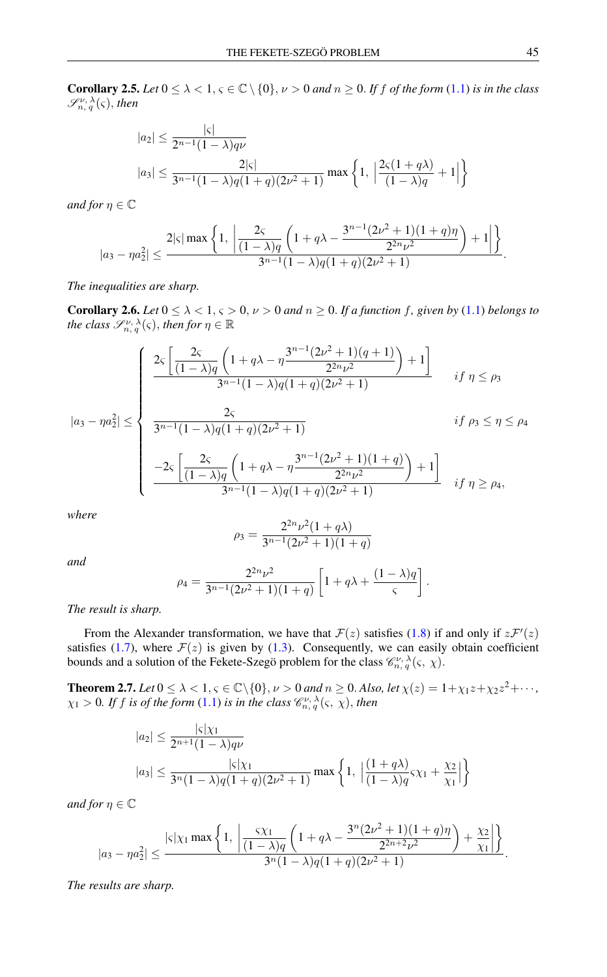**Corollary 2.5.** *Let*  $0 \le \lambda < 1$ ,  $\varsigma \in \mathbb{C} \setminus \{0\}$ ,  $\nu > 0$  *and*  $n \ge 0$ . *If f of the form* [\(1.1\)](#page-0-0) *is in the class*  $\mathscr{S}^{\nu,\,\lambda}_{n,\,q}(\varsigma)$ , then

$$
|a_2| \le \frac{|\varsigma|}{2^{n-1}(1-\lambda)q\nu}
$$
  

$$
|a_3| \le \frac{2|\varsigma|}{3^{n-1}(1-\lambda)q(1+q)(2\nu^2+1)} \max\left\{1, \left|\frac{2\varsigma(1+q\lambda)}{(1-\lambda)q}+1\right|\right\}
$$

*and for*  $n \in \mathbb{C}$ 

$$
|a_3-\eta a_2^2|\leq \frac{2|\varsigma|\max\left\{1,\ \left|\frac{2\varsigma}{(1-\lambda)q}\left(1+q\lambda-\frac{3^{n-1}(2\nu^2+1)(1+q)\eta}{2^{2n}\nu^2}\right)+1\right|\right\}}{3^{n-1}(1-\lambda)q(1+q)(2\nu^2+1)}.
$$

*The inequalities are sharp.*

**Corollary 2.6.** *Let*  $0 \le \lambda < 1$ ,  $\varsigma > 0$ ,  $\nu > 0$  *and*  $n \ge 0$ . *If a function f*, given by [\(1.1\)](#page-0-0) *belongs to the class*  $\mathscr{S}^{\nu, \lambda}_{n, q}(\varsigma)$ , *then for*  $\eta \in \mathbb{R}$ 

$$
|a_3 - \eta a_2^2| \le \begin{cases} \frac{2\varsigma \left[ \frac{2\varsigma}{(1-\lambda)q} \left( 1 + q\lambda - \eta \frac{3^{n-1}(2\nu^2 + 1)(q+1)}{2^{2n}\nu^2} \right) + 1 \right]}{3^{n-1}(1-\lambda)q(1+q)(2\nu^2 + 1)} & \text{if } \eta \le \rho_3 \\ & \\ \frac{2\varsigma}{3^{n-1}(1-\lambda)q(1+q)(2\nu^2 + 1)} & \text{if } \rho_3 \le \eta \le \rho_4 \\ & \\ \frac{-2\varsigma \left[ \frac{2\varsigma}{(1-\lambda)q} \left( 1 + q\lambda - \eta \frac{3^{n-1}(2\nu^2 + 1)(1+q)}{2^{2n}\nu^2} \right) + 1 \right]}{3^{n-1}(1-\lambda)q(1+q)(2\nu^2 + 1)} & \text{if } \eta \ge \rho_4, \end{cases}
$$

*where*

$$
\rho_3 = \frac{2^{2n}\nu^2(1+q\lambda)}{3^{n-1}(2\nu^2+1)(1+q)}
$$

*and*

$$
\rho_4 = \frac{2^{2n}\nu^2}{3^{n-1}(2\nu^2+1)(1+q)} \left[1+q\lambda+\frac{(1-\lambda)q}{\varsigma}\right].
$$

*The result is sharp.*

From the Alexander transformation, we have that  $\mathcal{F}(z)$  satisfies [\(1.8\)](#page-2-2) if and only if  $z\mathcal{F}'(z)$ satisfies [\(1.7\)](#page-2-3), where  $\mathcal{F}(z)$  is given by [\(1.3\)](#page-1-0). Consequently, we can easily obtain coefficient bounds and a solution of the Fekete-Szegö problem for the class  $\mathcal{C}_{n, q}^{\nu, \lambda}(\varsigma, \chi)$ .

<span id="page-6-0"></span>**Theorem 2.7.** Let  $0 \le \lambda < 1, \varsigma \in \mathbb{C} \setminus \{0\}, \nu > 0$  and  $n \ge 0$ . Also, let  $\chi(z) = 1 + \chi_1 z + \chi_2 z^2 + \cdots$ ,  $\chi_1 > 0$ . If f is of the form [\(1.1\)](#page-0-0) is in the class  $\mathscr{C}^{\nu,\,\lambda}_{n,\,q}(\varsigma,\,\chi),$  then

$$
|a_2| \le \frac{|\varsigma|\chi_1}{2^{n+1}(1-\lambda)q\nu}
$$
  

$$
|a_3| \le \frac{|\varsigma|\chi_1}{3^n(1-\lambda)q(1+q)(2\nu^2+1)} \max\left\{1, \left|\frac{(1+q\lambda)}{(1-\lambda)q}\varsigma\chi_1 + \frac{\chi_2}{\chi_1}\right|\right\}
$$

*and for*  $\eta \in \mathbb{C}$ 

$$
|a_3-\eta a_2^2|\leq \frac{|\varsigma|\chi_1\max\left\{1,\ \left|\frac{\varsigma\chi_1}{(1-\lambda)q}\left(1+q\lambda-\frac{3^n(2\nu^2+1)(1+q)\eta}{2^{2n+2}\nu^2}\right)+\frac{\chi_2}{\chi_1}\right|\right\}}{3^n(1-\lambda)q(1+q)(2\nu^2+1)}.
$$

*The results are sharp.*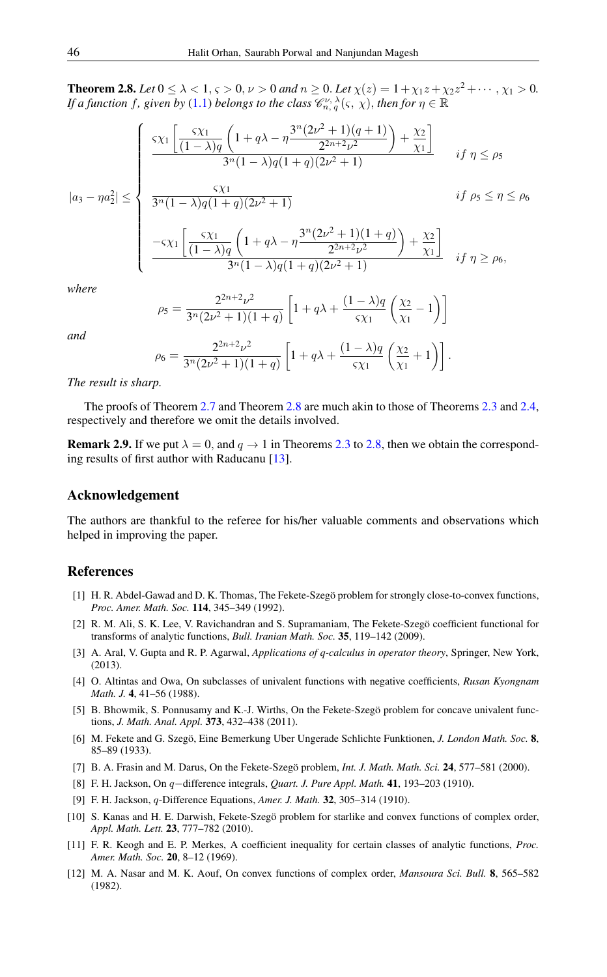<span id="page-7-13"></span>**Theorem 2.8.** *Let*  $0 \le \lambda < 1$ ,  $\varsigma > 0$ ,  $\nu > 0$  *and*  $n \ge 0$ . *Let*  $\chi(z) = 1 + \chi_1 z + \chi_2 z^2 + \cdots$ ,  $\chi_1 > 0$ . *If a function f, given by* [\(1.1\)](#page-0-0) *belongs to the class*  $\mathscr{C}^{\nu,\,\lambda}_{n,\,q}(\varsigma,\,\chi),$  *then for*  $\eta\in\mathbb{R}$ 

$$
|a_3 - \eta a_2^2| \le \begin{cases} \frac{\varsigma \chi_1}{3^n (1 - \lambda) q} \left( 1 + q \lambda - \eta \frac{3^n (2\nu^2 + 1)(q + 1)}{2^{2n + 2} \nu^2} \right) + \frac{\chi_2}{\chi_1} \\ \frac{3^n (1 - \lambda) q (1 + q) (2\nu^2 + 1)}{3^n (1 - \lambda) q (1 + q) (2\nu^2 + 1)} & \text{if } \rho_5 \le \eta \le \rho_6 \end{cases}
$$
  

$$
\frac{-\varsigma \chi_1}{3^n (1 - \lambda) q} \left( 1 + q \lambda - \eta \frac{3^n (2\nu^2 + 1)(1 + q)}{2^{2n + 2} \nu^2} \right) + \frac{\chi_2}{\chi_1} \frac{1}{3^n (1 - \lambda) q (1 + q) (2\nu^2 + 1)} & \text{if } \eta \ge \rho_6,
$$

*where*

$$
\rho_5 = \frac{2^{2n+2}\nu^2}{3^n(2\nu^2+1)(1+q)} \left[1+q\lambda + \frac{(1-\lambda)q}{5\chi_1}\left(\frac{\chi_2}{\chi_1}-1\right)\right]
$$

*and*

$$
\rho_6 = \frac{2^{2n+2}\nu^2}{3^n(2\nu^2+1)(1+q)} \left[1+q\lambda + \frac{(1-\lambda)q}{5\chi_1}\left(\frac{\chi_2}{\chi_1}+1\right)\right].
$$

#### *The result is sharp.*

The proofs of Theorem [2.7](#page-6-0) and Theorem [2.8](#page-7-13) are much akin to those of Theorems [2.3](#page-3-5) and [2.4,](#page-4-2) respectively and therefore we omit the details involved.

**Remark 2.9.** If we put  $\lambda = 0$ , and  $q \rightarrow 1$  in Theorems [2.3](#page-3-5) to [2.8,](#page-7-13) then we obtain the corresponding results of first author with Raducanu [\[13\]](#page-8-7).

## Acknowledgement

The authors are thankful to the referee for his/her valuable comments and observations which helped in improving the paper.

### <span id="page-7-0"></span>References

- <span id="page-7-6"></span>[1] H. R. Abdel-Gawad and D. K. Thomas, The Fekete-Szegö problem for strongly close-to-convex functions, *Proc. Amer. Math. Soc.* 114, 345–349 (1992).
- <span id="page-7-7"></span>[2] R. M. Ali, S. K. Lee, V. Ravichandran and S. Supramaniam, The Fekete-Szegö coefficient functional for transforms of analytic functions, *Bull. Iranian Math. Soc.* 35, 119–142 (2009).
- <span id="page-7-8"></span>[3] A. Aral, V. Gupta and R. P. Agarwal, *Applications of q-calculus in operator theory*, Springer, New York, (2013).
- <span id="page-7-2"></span>[4] O. Altintas and Owa, On subclasses of univalent functions with negative coefficients, *Rusan Kyongnam Math. J.* 4, 41–56 (1988).
- <span id="page-7-9"></span>[5] B. Bhowmik, S. Ponnusamy and K.-J. Wirths, On the Fekete-Szegö problem for concave univalent functions, *J. Math. Anal. Appl.* 373, 432–438 (2011).
- <span id="page-7-5"></span>[6] M. Fekete and G. Szegö, Eine Bemerkung Uber Ungerade Schlichte Funktionen, *J. London Math. Soc.* 8, 85–89 (1933).
- <span id="page-7-10"></span>[7] B. A. Frasin and M. Darus, On the Fekete-Szegö problem, *Int. J. Math. Math. Sci.* 24, 577–581 (2000).
- <span id="page-7-3"></span>[8] F. H. Jackson, On q−difference integrals, *Quart. J. Pure Appl. Math.* 41, 193–203 (1910).
- <span id="page-7-4"></span>[9] F. H. Jackson, q-Difference Equations, *Amer. J. Math.* 32, 305–314 (1910).
- <span id="page-7-11"></span>[10] S. Kanas and H. E. Darwish, Fekete-Szegö problem for starlike and convex functions of complex order, *Appl. Math. Lett.* 23, 777–782 (2010).
- <span id="page-7-12"></span>[11] F. R. Keogh and E. P. Merkes, A coefficient inequality for certain classes of analytic functions, *Proc. Amer. Math. Soc.* 20, 8–12 (1969).
- <span id="page-7-1"></span>[12] M. A. Nasar and M. K. Aouf, On convex functions of complex order, *Mansoura Sci. Bull.* 8, 565–582 (1982).